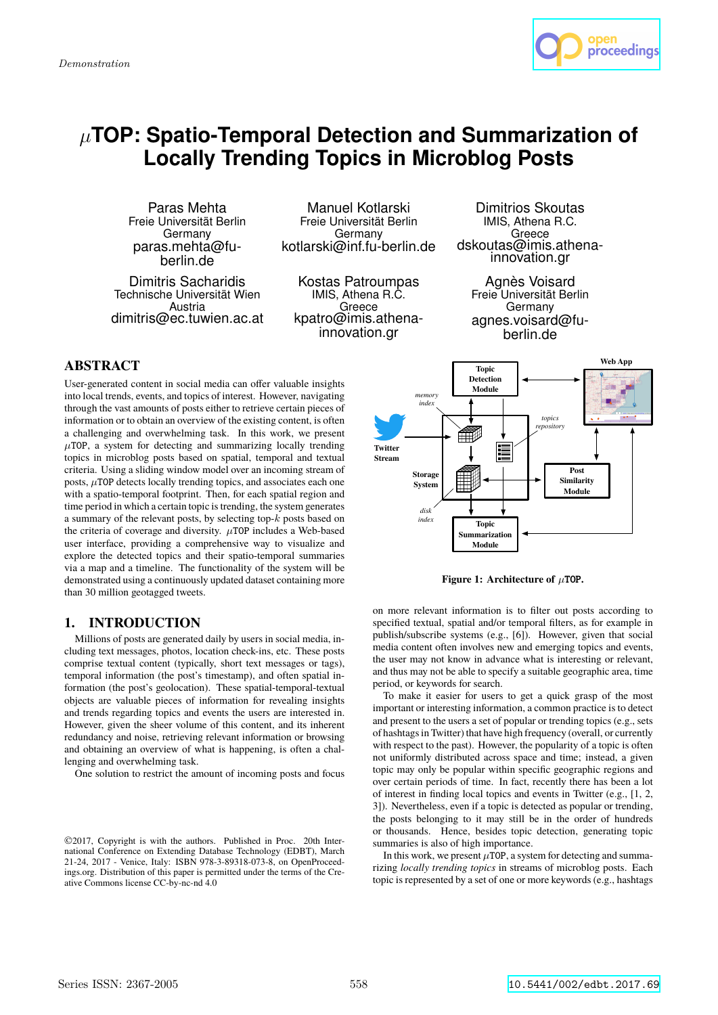

# µ**TOP: Spatio-Temporal Detection and Summarization of Locally Trending Topics in Microblog Posts**

Paras Mehta Freie Universität Berlin Germany paras.mehta@fuberlin.de

Dimitris Sacharidis Technische Universität Wien Austria dimitris@ec.tuwien.ac.at

Manuel Kotlarski Freie Universität Berlin Germany kotlarski@inf.fu-berlin.de

Kostas Patroumpas IMIS, Athena R.C. Greece kpatro@imis.athenainnovation.gr

Dimitrios Skoutas IMIS, Athena R.C. Greece dskoutas@imis.athenainnovation.gr

Agnès Voisard Freie Universität Berlin Germany agnes.voisard@fuberlin.de

# **ABSTRACT**

User-generated content in social media can offer valuable insights into local trends, events, and topics of interest. However, navigating through the vast amounts of posts either to retrieve certain pieces of information or to obtain an overview of the existing content, is often a challenging and overwhelming task. In this work, we present  $\mu$ TOP, a system for detecting and summarizing locally trending topics in microblog posts based on spatial, temporal and textual criteria. Using a sliding window model over an incoming stream of posts,  $\mu$ TOP detects locally trending topics, and associates each one with a spatio-temporal footprint. Then, for each spatial region and time period in which a certain topic is trending, the system generates a summary of the relevant posts, by selecting top-k posts based on the criteria of coverage and diversity.  $\mu$ TOP includes a Web-based user interface, providing a comprehensive way to visualize and explore the detected topics and their spatio-temporal summaries via a map and a timeline. The functionality of the system will be demonstrated using a continuously updated dataset containing more than 30 million geotagged tweets.

# 1. INTRODUCTION

Millions of posts are generated daily by users in social media, including text messages, photos, location check-ins, etc. These posts comprise textual content (typically, short text messages or tags), temporal information (the post's timestamp), and often spatial information (the post's geolocation). These spatial-temporal-textual objects are valuable pieces of information for revealing insights and trends regarding topics and events the users are interested in. However, given the sheer volume of this content, and its inherent redundancy and noise, retrieving relevant information or browsing and obtaining an overview of what is happening, is often a challenging and overwhelming task.

One solution to restrict the amount of incoming posts and focus



**Figure 1: Architecture of**  $\mu$ **TOP.** 

publish/subscribe systems (e.g., [6]). However, given that social on more relevant information is to filter out posts according to and thus may not be able to specify a switable geographic area, time specified textual, spatial and/or temporal filters, as for example in media content often involves new and emerging topics and events, the user may not know in advance what is interesting or relevant, period, or keywords for search.

To make it easier for users to get a quick grasp of the most important or interesting information, a common practice is to detect and present to the users a set of popular or trending topics (e.g., sets of hashtags in Twitter) that have high frequency (overall, or currently with respect to the past). However, the popularity of a topic is often not uniformly distributed across space and time; instead, a given topic may only be popular within specific geographic regions and over certain periods of time. In fact, recently there has been a lot of interest in finding local topics and events in Twitter (e.g., [1, 2, 3]). Nevertheless, even if a topic is detected as popular or trending, the posts belonging to it may still be in the order of hundreds or thousands. Hence, besides topic detection, generating topic summaries is also of high importance.

In this work, we present  $\mu$  TOP, a system for detecting and summarizing *locally trending topics* in streams of microblog posts. Each topic is represented by a set of one or more keywords (e.g., hashtags

<sup>©</sup>2017, Copyright is with the authors. Published in Proc. 20th International Conference on Extending Database Technology (EDBT), March 21-24, 2017 - Venice, Italy: ISBN 978-3-89318-073-8, on OpenProceedings.org. Distribution of this paper is permitted under the terms of the Creative Commons license CC-by-nc-nd 4.0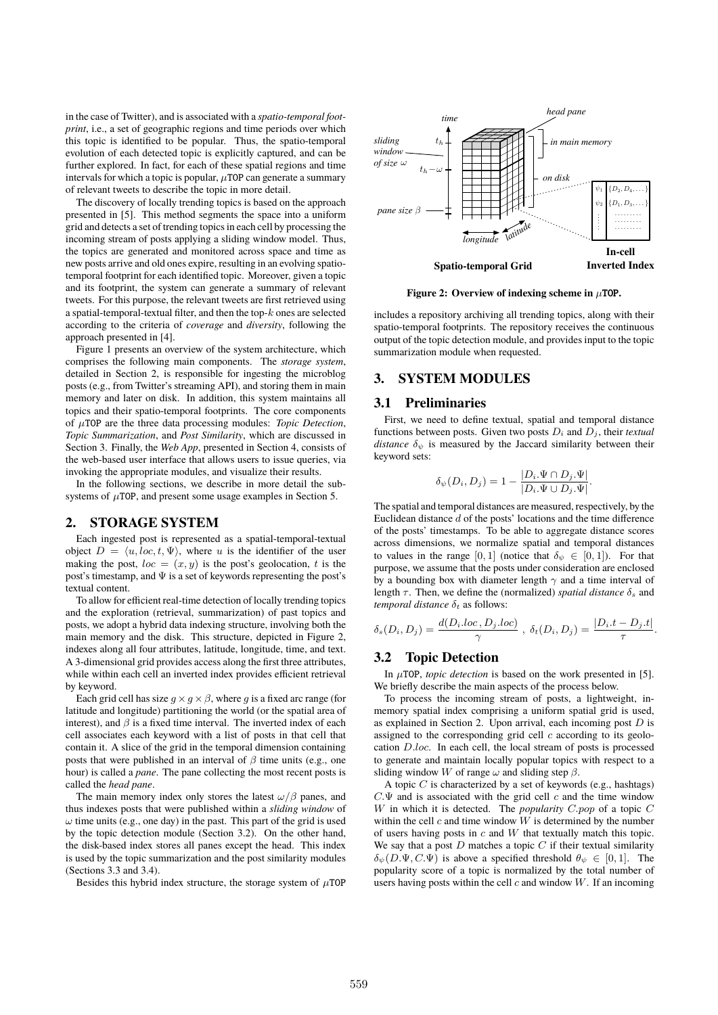in the case of Twitter), and is associated with a *spatio-temporal footprint*, i.e., a set of geographic regions and time periods over which this topic is identified to be popular. Thus, the spatio-temporal evolution of each detected topic is explicitly captured, and can be further explored. In fact, for each of these spatial regions and time intervals for which a topic is popular,  $\mu$ TOP can generate a summary of relevant tweets to describe the topic in more detail.

The discovery of locally trending topics is based on the approach presented in [5]. This method segments the space into a uniform grid and detects a set of trending topics in each cell by processing the incoming stream of posts applying a sliding window model. Thus, the topics are generated and monitored across space and time as new posts arrive and old ones expire, resulting in an evolving spatiotemporal footprint for each identified topic. Moreover, given a topic and its footprint, the system can generate a summary of relevant tweets. For this purpose, the relevant tweets are first retrieved using a spatial-temporal-textual filter, and then the top- $k$  ones are selected according to the criteria of *coverage* and *diversity*, following the approach presented in [4].

Figure 1 presents an overview of the system architecture, which comprises the following main components. The *storage system*, detailed in Section 2, is responsible for ingesting the microblog posts (e.g., from Twitter's streaming API), and storing them in main memory and later on disk. In addition, this system maintains all topics and their spatio-temporal footprints. The core components of µTOP are the three data processing modules: *Topic Detection*, *Topic Summarization*, and *Post Similarity*, which are discussed in Section 3. Finally, the *Web App*, presented in Section 4, consists of the web-based user interface that allows users to issue queries, via invoking the appropriate modules, and visualize their results.

In the following sections, we describe in more detail the subsystems of  $\mu$ TOP, and present some usage examples in Section 5.

## 2. STORAGE SYSTEM

Each ingested post is represented as a spatial-temporal-textual object  $D = \langle u, loc, t, \Psi \rangle$ , where u is the identifier of the user making the post,  $loc = (x, y)$  is the post's geolocation, t is the post's timestamp, and  $\Psi$  is a set of keywords representing the post's textual content.

To allow for efficient real-time detection of locally trending topics and the exploration (retrieval, summarization) of past topics and posts, we adopt a hybrid data indexing structure, involving both the main memory and the disk. This structure, depicted in Figure 2, indexes along all four attributes, latitude, longitude, time, and text. A 3-dimensional grid provides access along the first three attributes, while within each cell an inverted index provides efficient retrieval by keyword.

Each grid cell has size  $g \times g \times \beta$ , where g is a fixed arc range (for latitude and longitude) partitioning the world (or the spatial area of interest), and  $\beta$  is a fixed time interval. The inverted index of each cell associates each keyword with a list of posts in that cell that contain it. A slice of the grid in the temporal dimension containing posts that were published in an interval of  $\beta$  time units (e.g., one hour) is called a *pane*. The pane collecting the most recent posts is called the *head pane*.

The main memory index only stores the latest  $\omega/\beta$  panes, and thus indexes posts that were published within a *sliding window* of  $\omega$  time units (e.g., one day) in the past. This part of the grid is used by the topic detection module (Section 3.2). On the other hand, the disk-based index stores all panes except the head. This index is used by the topic summarization and the post similarity modules (Sections 3.3 and 3.4).

Besides this hybrid index structure, the storage system of  $\mu$ TOP



**Figure 2:** Overview of indexing scheme in  $\mu$ TOP.

includes a repository archiving all trending topics, along with their spatio-temporal footprints. The repository receives the continuous output of the topic detection module, and provides input to the topic summarization module when requested.

# 3. SYSTEM MODULES

### 3.1 Preliminaries

First, we need to define textual, spatial and temporal distance functions between posts. Given two posts  $D_i$  and  $D_j$ , their *textual distance*  $\delta_{\psi}$  is measured by the Jaccard similarity between their keyword sets:

$$
\delta_{\psi}(D_i, D_j) = 1 - \frac{|D_i \Psi \cap D_j \Psi|}{|D_i \Psi \cup D_j \Psi|}.
$$

The spatial and temporal distances are measured, respectively, by the Euclidean distance  $d$  of the posts' locations and the time difference of the posts' timestamps. To be able to aggregate distance scores across dimensions, we normalize spatial and temporal distances to values in the range [0, 1] (notice that  $\delta_{\psi} \in [0, 1]$ ). For that purpose, we assume that the posts under consideration are enclosed by a bounding box with diameter length  $\gamma$  and a time interval of length  $\tau$ . Then, we define the (normalized) *spatial distance*  $\delta_s$  and *temporal distance*  $\delta_t$  as follows:

$$
\delta_s(D_i, D_j) = \frac{d(D_i \cdot loc, D_j \cdot loc)}{\gamma} , \ \delta_t(D_i, D_j) = \frac{|D_i \cdot t - D_j \cdot t|}{\tau}.
$$

#### 3.2 Topic Detection

In  $\mu$ TOP, *topic detection* is based on the work presented in [5]. We briefly describe the main aspects of the process below.

To process the incoming stream of posts, a lightweight, inmemory spatial index comprising a uniform spatial grid is used, as explained in Section 2. Upon arrival, each incoming post  $D$  is assigned to the corresponding grid cell  $c$  according to its geolocation D.loc. In each cell, the local stream of posts is processed to generate and maintain locally popular topics with respect to a sliding window W of range  $\omega$  and sliding step  $\beta$ .

A topic  $C$  is characterized by a set of keywords (e.g., hashtags)  $C.\Psi$  and is associated with the grid cell c and the time window W in which it is detected. The *popularity* C.pop of a topic C within the cell  $c$  and time window  $W$  is determined by the number of users having posts in  $c$  and  $W$  that textually match this topic. We say that a post  $D$  matches a topic  $C$  if their textual similarity  $\delta_{\psi}(D.\Psi, C.\Psi)$  is above a specified threshold  $\theta_{\psi} \in [0,1]$ . The popularity score of a topic is normalized by the total number of users having posts within the cell  $c$  and window  $W$ . If an incoming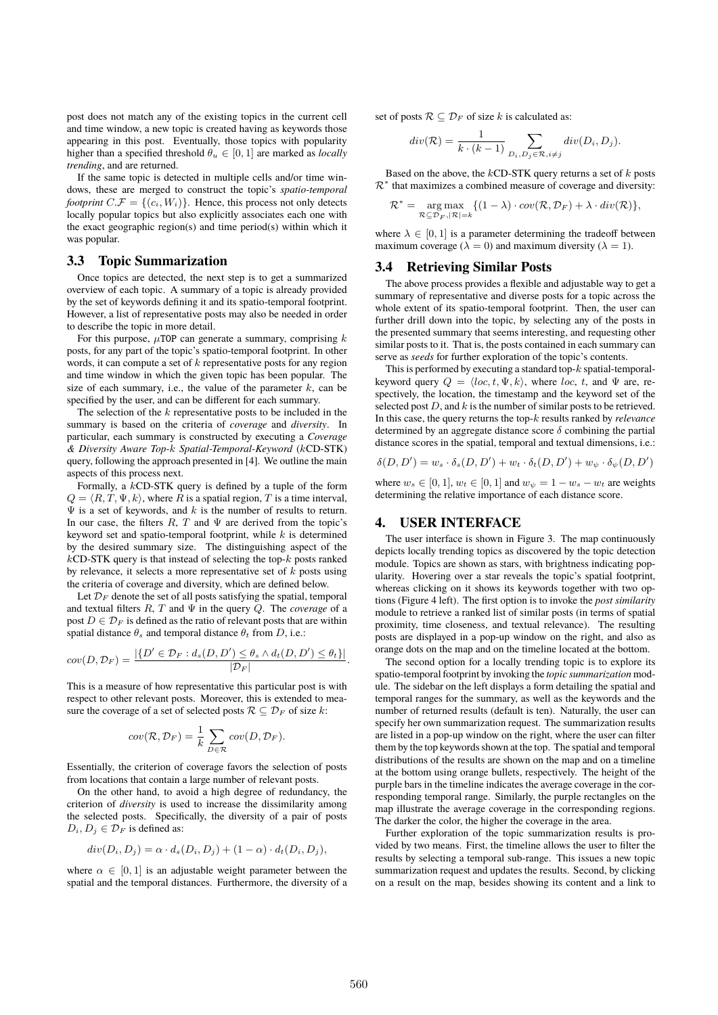post does not match any of the existing topics in the current cell and time window, a new topic is created having as keywords those appearing in this post. Eventually, those topics with popularity higher than a specified threshold  $\theta_u \in [0, 1]$  are marked as *locally trending*, and are returned.

If the same topic is detected in multiple cells and/or time windows, these are merged to construct the topic's *spatio-temporal footprint*  $C.F = \{(c_i, W_i)\}\$ . Hence, this process not only detects locally popular topics but also explicitly associates each one with the exact geographic region(s) and time period(s) within which it was popular.

#### 3.3 Topic Summarization

Once topics are detected, the next step is to get a summarized overview of each topic. A summary of a topic is already provided by the set of keywords defining it and its spatio-temporal footprint. However, a list of representative posts may also be needed in order to describe the topic in more detail.

For this purpose,  $\mu$ TOP can generate a summary, comprising k posts, for any part of the topic's spatio-temporal footprint. In other words, it can compute a set of  $k$  representative posts for any region and time window in which the given topic has been popular. The size of each summary, i.e., the value of the parameter  $k$ , can be specified by the user, and can be different for each summary.

The selection of the  $k$  representative posts to be included in the summary is based on the criteria of *coverage* and *diversity*. In particular, each summary is constructed by executing a *Coverage & Diversity Aware Top-*k *Spatial-Temporal-Keyword* (kCD-STK) query, following the approach presented in [4]. We outline the main aspects of this process next.

Formally, a kCD-STK query is defined by a tuple of the form  $Q = \langle R, T, \Psi, k \rangle$ , where R is a spatial region, T is a time interval,  $\Psi$  is a set of keywords, and k is the number of results to return. In our case, the filters  $R, T$  and  $\Psi$  are derived from the topic's keyword set and spatio-temporal footprint, while  $k$  is determined by the desired summary size. The distinguishing aspect of the  $k$ CD-STK query is that instead of selecting the top- $k$  posts ranked by relevance, it selects a more representative set of  $k$  posts using the criteria of coverage and diversity, which are defined below.

Let  $\mathcal{D}_F$  denote the set of all posts satisfying the spatial, temporal and textual filters  $R, T$  and  $\Psi$  in the query  $Q$ . The *coverage* of a post  $D \in \mathcal{D}_F$  is defined as the ratio of relevant posts that are within spatial distance  $\theta_s$  and temporal distance  $\theta_t$  from D, i.e.:

$$
cov(D, \mathcal{D}_F) = \frac{|\{D' \in \mathcal{D}_F : d_s(D, D') \leq \theta_s \wedge d_t(D, D') \leq \theta_t\}|}{|\mathcal{D}_F|}.
$$

This is a measure of how representative this particular post is with respect to other relevant posts. Moreover, this is extended to measure the coverage of a set of selected posts  $\mathcal{R} \subseteq \mathcal{D}_F$  of size k:

$$
cov(\mathcal{R}, \mathcal{D}_F) = \frac{1}{k} \sum_{D \in \mathcal{R}} cov(D, \mathcal{D}_F).
$$

Essentially, the criterion of coverage favors the selection of posts from locations that contain a large number of relevant posts.

On the other hand, to avoid a high degree of redundancy, the criterion of *diversity* is used to increase the dissimilarity among the selected posts. Specifically, the diversity of a pair of posts  $D_i, D_j \in \mathcal{D}_F$  is defined as:

$$
div(D_i, D_j) = \alpha \cdot d_s(D_i, D_j) + (1 - \alpha) \cdot d_t(D_i, D_j),
$$

where  $\alpha \in [0, 1]$  is an adjustable weight parameter between the spatial and the temporal distances. Furthermore, the diversity of a set of posts  $\mathcal{R} \subseteq \mathcal{D}_F$  of size k is calculated as:

$$
div(\mathcal{R}) = \frac{1}{k \cdot (k-1)} \sum_{D_i, D_j \in \mathcal{R}, i \neq j} div(D_i, D_j).
$$

Based on the above, the  $kCD-STK$  query returns a set of  $k$  posts  $\mathcal{R}^*$  that maximizes a combined measure of coverage and diversity:

$$
\mathcal{R}^* = \underset{\mathcal{R} \subseteq \mathcal{D}_F, |\mathcal{R}| = k}{\arg \max} \{ (1 - \lambda) \cdot cov(\mathcal{R}, \mathcal{D}_F) + \lambda \cdot div(\mathcal{R}) \},
$$

where  $\lambda \in [0, 1]$  is a parameter determining the tradeoff between maximum coverage ( $\lambda = 0$ ) and maximum diversity ( $\lambda = 1$ ).

#### 3.4 Retrieving Similar Posts

The above process provides a flexible and adjustable way to get a summary of representative and diverse posts for a topic across the whole extent of its spatio-temporal footprint. Then, the user can further drill down into the topic, by selecting any of the posts in the presented summary that seems interesting, and requesting other similar posts to it. That is, the posts contained in each summary can serve as *seeds* for further exploration of the topic's contents.

This is performed by executing a standard top- $k$  spatial-temporalkeyword query  $Q = \langle loc, t, \Psi, k \rangle$ , where loc, t, and  $\Psi$  are, respectively, the location, the timestamp and the keyword set of the selected post  $D$ , and  $k$  is the number of similar posts to be retrieved. In this case, the query returns the top-k results ranked by *relevance* determined by an aggregate distance score  $\delta$  combining the partial distance scores in the spatial, temporal and textual dimensions, i.e.:

$$
\delta(D, D') = w_s \cdot \delta_s(D, D') + w_t \cdot \delta_t(D, D') + w_{\psi} \cdot \delta_{\psi}(D, D')
$$

where  $w_s \in [0, 1], w_t \in [0, 1]$  and  $w_w = 1 - w_s - w_t$  are weights determining the relative importance of each distance score.

## 4. USER INTERFACE

The user interface is shown in Figure 3. The map continuously depicts locally trending topics as discovered by the topic detection module. Topics are shown as stars, with brightness indicating popularity. Hovering over a star reveals the topic's spatial footprint, whereas clicking on it shows its keywords together with two options (Figure 4 left). The first option is to invoke the *post similarity* module to retrieve a ranked list of similar posts (in terms of spatial proximity, time closeness, and textual relevance). The resulting posts are displayed in a pop-up window on the right, and also as orange dots on the map and on the timeline located at the bottom.

The second option for a locally trending topic is to explore its spatio-temporal footprint by invoking the *topic summarization* module. The sidebar on the left displays a form detailing the spatial and temporal ranges for the summary, as well as the keywords and the number of returned results (default is ten). Naturally, the user can specify her own summarization request. The summarization results are listed in a pop-up window on the right, where the user can filter them by the top keywords shown at the top. The spatial and temporal distributions of the results are shown on the map and on a timeline at the bottom using orange bullets, respectively. The height of the purple bars in the timeline indicates the average coverage in the corresponding temporal range. Similarly, the purple rectangles on the map illustrate the average coverage in the corresponding regions. The darker the color, the higher the coverage in the area.

Further exploration of the topic summarization results is provided by two means. First, the timeline allows the user to filter the results by selecting a temporal sub-range. This issues a new topic summarization request and updates the results. Second, by clicking on a result on the map, besides showing its content and a link to